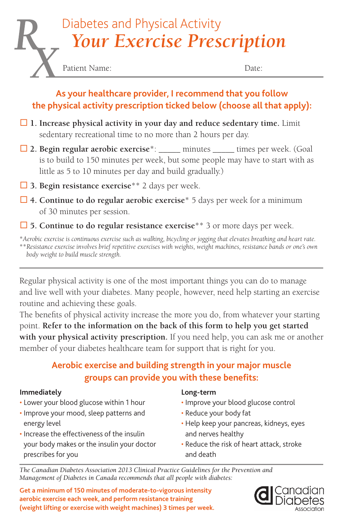# *Your Exercise Prescription* Diabetes and Physical Activity

Patient Name: Date:

#### **As your healthcare provider, I recommend that you follow the physical activity prescription ticked below (choose all that apply):**

- **1. Increase physical activity in your day and reduce sedentary time.** Limit sedentary recreational time to no more than 2 hours per day.
- **2. Begin regular aerobic exercise**\*: \_\_\_\_\_ minutes \_\_\_\_\_ times per week. (Goal is to build to 150 minutes per week, but some people may have to start with as little as 5 to 10 minutes per day and build gradually.)
- **3. Begin resistance exercise**\*\* 2 days per week.
- **4. Continue to do regular aerobic exercise**\* 5 days per week for a minimum of 30 minutes per session.
- **5. Continue to do regular resistance exercise**\*\* 3 or more days per week.

\**Aerobic exercise is continuous exercise such as walking, bicycling or jogging that elevates breathing and heart rate.*  \*\**Resistance exercise involves brief repetitive exercises with weights, weight machines, resistance bands or one's own body weight to build muscle strength.* 

Regular physical activity is one of the most important things you can do to manage and live well with your diabetes. Many people, however, need help starting an exercise routine and achieving these goals.

The benefits of physical activity increase the more you do, from whatever your starting point. **Refer to the information on the back of this form to help you get started with your physical activity prescription.** If you need help, you can ask me or another member of your diabetes healthcare team for support that is right for you.

### **Aerobic exercise and building strength in your major muscle groups can provide you with these benefits:**

#### **Immediately**

- Lower your blood glucose within 1 hour
- Improve your mood, sleep patterns and energy level
- Increase the effectiveness of the insulin your body makes or the insulin your doctor prescribes for you

#### **Long-term**

- Improve your blood glucose control
- Reduce your body fat
- Help keep your pancreas, kidneys, eyes and nerves healthy
- Reduce the risk of heart attack, stroke and death

*The Canadian Diabetes Association 2013 Clinical Practice Guidelines for the Prevention and Management of Diabetes in Canada recommends that all people with diabetes:*

**Get a minimum of 150 minutes of moderate-to-vigorous intensity aerobic exercise each week, and perform resistance training (weight lifting or exercise with weight machines) 3 times per week.**